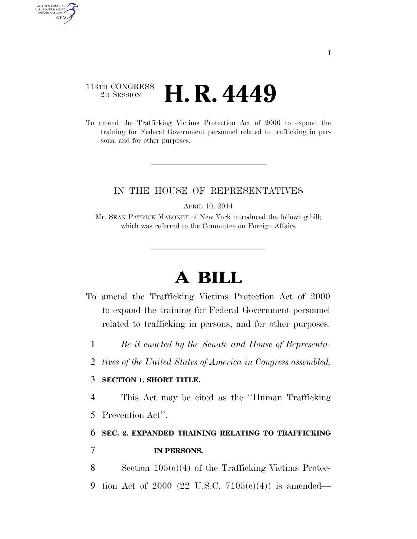### 113TH CONGRESS <sup>2D SESSION</sup> **H. R. 4449**

AUTHENTICATED<br>U.S. GOVERNMENT<br>INFORMATION GPO

> To amend the Trafficking Victims Protection Act of 2000 to expand the training for Federal Government personnel related to trafficking in persons, and for other purposes.

### IN THE HOUSE OF REPRESENTATIVES

APRIL 10, 2014

Mr. SEAN PATRICK MALONEY of New York introduced the following bill; which was referred to the Committee on Foreign Affairs

# **A BILL**

- To amend the Trafficking Victims Protection Act of 2000 to expand the training for Federal Government personnel related to trafficking in persons, and for other purposes.
	- 1 *Be it enacted by the Senate and House of Representa-*
	- 2 *tives of the United States of America in Congress assembled,*

#### 3 **SECTION 1. SHORT TITLE.**

4 This Act may be cited as the ''Human Trafficking

5 Prevention Act''.

## 6 **SEC. 2. EXPANDED TRAINING RELATING TO TRAFFICKING**  7 **IN PERSONS.**

8 Section 105(c)(4) of the Trafficking Victims Protec-9 tion Act of 2000 (22 U.S.C. 7105(c)(4)) is amended—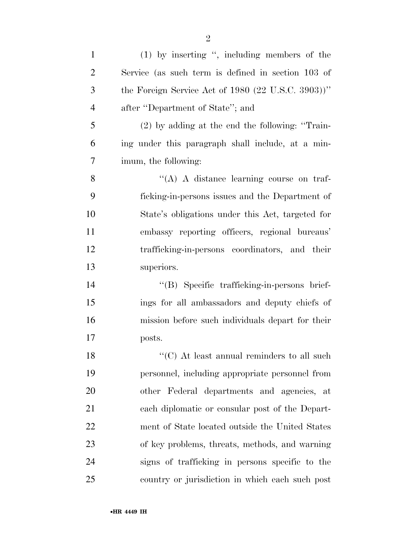| $\mathbf{1}$   | $(1)$ by inserting ", including members of the                  |
|----------------|-----------------------------------------------------------------|
| $\overline{2}$ | Service (as such term is defined in section 103 of              |
| 3              | the Foreign Service Act of 1980 $(22 \text{ U.S.C. } 3903))$ "  |
| $\overline{4}$ | after "Department of State"; and                                |
| 5              | $(2)$ by adding at the end the following: "Train-               |
| 6              | ing under this paragraph shall include, at a min-               |
| $\tau$         | imum, the following:                                            |
| 8              | "(A) A distance learning course on traf-                        |
| 9              | ficking-in-persons issues and the Department of                 |
| 10             | State's obligations under this Act, targeted for                |
| 11             | embassy reporting officers, regional bureaus'                   |
| 12             | trafficking-in-persons coordinators, and their                  |
| 13             | superiors.                                                      |
| 14             | "(B) Specific trafficking-in-persons brief-                     |
| 15             | ings for all ambassadors and deputy chiefs of                   |
| 16             | mission before such individuals depart for their                |
| 17             | posts.                                                          |
| 18             | $\lq\lq$ <sup>"</sup> (C) At least annual reminders to all such |
| 19             | personnel, including appropriate personnel from                 |
| 20             | other Federal departments and agencies, at                      |
| 21             | each diplomatic or consular post of the Depart-                 |
| 22             | ment of State located outside the United States                 |
| 23             | of key problems, threats, methods, and warning                  |
| 24             | signs of trafficking in persons specific to the                 |
| 25             | country or jurisdiction in which each such post                 |